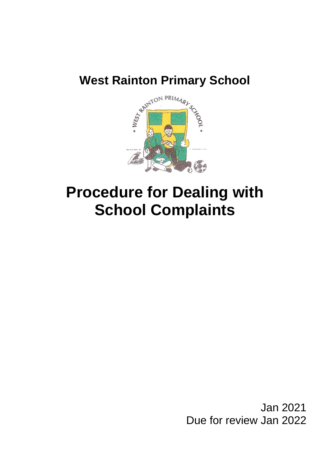

# **Procedure for Dealing with School Complaints**

Jan 2021 Due for review Jan 2022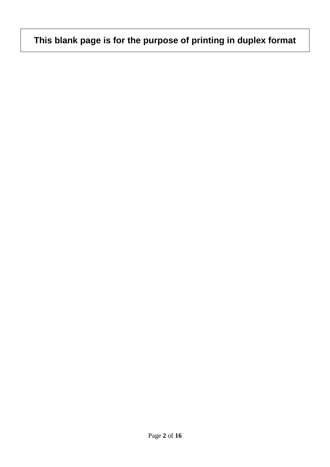# **This blank page is for the purpose of printing in duplex format**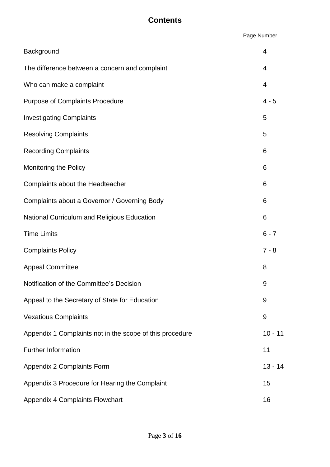#### **Contents**

Page Number

| Background                                               | 4              |
|----------------------------------------------------------|----------------|
| The difference between a concern and complaint           | $\overline{4}$ |
| Who can make a complaint                                 | 4              |
| <b>Purpose of Complaints Procedure</b>                   | $4 - 5$        |
| <b>Investigating Complaints</b>                          | 5              |
| <b>Resolving Complaints</b>                              | 5              |
| <b>Recording Complaints</b>                              | 6              |
| Monitoring the Policy                                    | 6              |
| Complaints about the Headteacher                         | 6              |
| Complaints about a Governor / Governing Body             | 6              |
| National Curriculum and Religious Education              | 6              |
| <b>Time Limits</b>                                       | $6 - 7$        |
| <b>Complaints Policy</b>                                 | $7 - 8$        |
| <b>Appeal Committee</b>                                  | 8              |
| Notification of the Committee's Decision                 | 9              |
| Appeal to the Secretary of State for Education           | 9              |
|                                                          |                |
| <b>Vexatious Complaints</b>                              | 9              |
| Appendix 1 Complaints not in the scope of this procedure | $10 - 11$      |
| <b>Further Information</b>                               | 11             |
| Appendix 2 Complaints Form                               | $13 - 14$      |
| Appendix 3 Procedure for Hearing the Complaint           | 15             |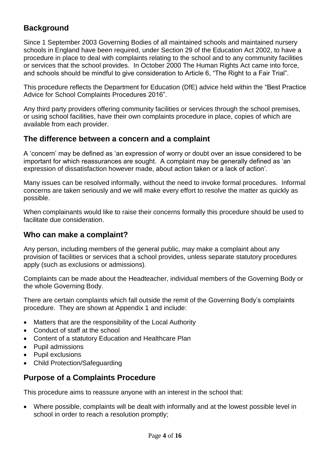#### **Background**

Since 1 September 2003 Governing Bodies of all maintained schools and maintained nursery schools in England have been required, under Section 29 of the Education Act 2002, to have a procedure in place to deal with complaints relating to the school and to any community facilities or services that the school provides. In October 2000 The Human Rights Act came into force, and schools should be mindful to give consideration to Article 6, "The Right to a Fair Trial".

This procedure reflects the Department for Education (DfE) advice held within the "Best Practice Advice for School Complaints Procedures 2016".

Any third party providers offering community facilities or services through the school premises, or using school facilities, have their own complaints procedure in place, copies of which are available from each provider.

#### **The difference between a concern and a complaint**

A 'concern' may be defined as 'an expression of worry or doubt over an issue considered to be important for which reassurances are sought. A complaint may be generally defined as 'an expression of dissatisfaction however made, about action taken or a lack of action'.

Many issues can be resolved informally, without the need to invoke formal procedures. Informal concerns are taken seriously and we will make every effort to resolve the matter as quickly as possible.

When complainants would like to raise their concerns formally this procedure should be used to facilitate due consideration.

#### **Who can make a complaint?**

Any person, including members of the general public, may make a complaint about any provision of facilities or services that a school provides, unless separate statutory procedures apply (such as exclusions or admissions).

Complaints can be made about the Headteacher, individual members of the Governing Body or the whole Governing Body.

There are certain complaints which fall outside the remit of the Governing Body's complaints procedure. They are shown at Appendix 1 and include:

- Matters that are the responsibility of the Local Authority
- Conduct of staff at the school
- Content of a statutory Education and Healthcare Plan
- Pupil admissions
- Pupil exclusions
- Child Protection/Safeguarding

#### **Purpose of a Complaints Procedure**

This procedure aims to reassure anyone with an interest in the school that:

 Where possible, complaints will be dealt with informally and at the lowest possible level in school in order to reach a resolution promptly;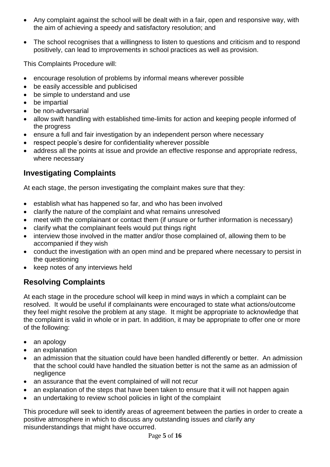- Any complaint against the school will be dealt with in a fair, open and responsive way, with the aim of achieving a speedy and satisfactory resolution; and
- The school recognises that a willingness to listen to questions and criticism and to respond positively, can lead to improvements in school practices as well as provision.

This Complaints Procedure will:

- encourage resolution of problems by informal means wherever possible
- be easily accessible and publicised
- be simple to understand and use
- be impartial
- be non-adversarial
- allow swift handling with established time-limits for action and keeping people informed of the progress
- ensure a full and fair investigation by an independent person where necessary
- respect people's desire for confidentiality wherever possible
- address all the points at issue and provide an effective response and appropriate redress, where necessary

#### **Investigating Complaints**

At each stage, the person investigating the complaint makes sure that they:

- establish what has happened so far, and who has been involved
- clarify the nature of the complaint and what remains unresolved
- meet with the complainant or contact them (if unsure or further information is necessary)
- clarify what the complainant feels would put things right
- interview those involved in the matter and/or those complained of, allowing them to be accompanied if they wish
- conduct the investigation with an open mind and be prepared where necessary to persist in the questioning
- keep notes of any interviews held

### **Resolving Complaints**

At each stage in the procedure school will keep in mind ways in which a complaint can be resolved. It would be useful if complainants were encouraged to state what actions/outcome they feel might resolve the problem at any stage. It might be appropriate to acknowledge that the complaint is valid in whole or in part. In addition, it may be appropriate to offer one or more of the following:

- an apology
- an explanation
- an admission that the situation could have been handled differently or better. An admission that the school could have handled the situation better is not the same as an admission of negligence
- an assurance that the event complained of will not recur
- an explanation of the steps that have been taken to ensure that it will not happen again
- an undertaking to review school policies in light of the complaint

This procedure will seek to identify areas of agreement between the parties in order to create a positive atmosphere in which to discuss any outstanding issues and clarify any misunderstandings that might have occurred.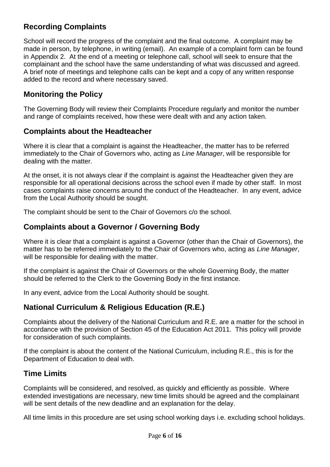#### **Recording Complaints**

School will record the progress of the complaint and the final outcome. A complaint may be made in person, by telephone, in writing (email). An example of a complaint form can be found in Appendix 2. At the end of a meeting or telephone call, school will seek to ensure that the complainant and the school have the same understanding of what was discussed and agreed. A brief note of meetings and telephone calls can be kept and a copy of any written response added to the record and where necessary saved.

#### **Monitoring the Policy**

The Governing Body will review their Complaints Procedure regularly and monitor the number and range of complaints received, how these were dealt with and any action taken.

#### **Complaints about the Headteacher**

Where it is clear that a complaint is against the Headteacher, the matter has to be referred immediately to the Chair of Governors who, acting as *Line Manager*, will be responsible for dealing with the matter.

At the onset, it is not always clear if the complaint is against the Headteacher given they are responsible for all operational decisions across the school even if made by other staff. In most cases complaints raise concerns around the conduct of the Headteacher. In any event, advice from the Local Authority should be sought.

The complaint should be sent to the Chair of Governors c/o the school.

#### **Complaints about a Governor / Governing Body**

Where it is clear that a complaint is against a Governor (other than the Chair of Governors), the matter has to be referred immediately to the Chair of Governors who, acting as *Line Manager*, will be responsible for dealing with the matter.

If the complaint is against the Chair of Governors or the whole Governing Body, the matter should be referred to the Clerk to the Governing Body in the first instance.

In any event, advice from the Local Authority should be sought.

#### **National Curriculum & Religious Education (R.E.)**

Complaints about the delivery of the National Curriculum and R.E. are a matter for the school in accordance with the provision of Section 45 of the Education Act 2011. This policy will provide for consideration of such complaints.

If the complaint is about the content of the National Curriculum, including R.E., this is for the Department of Education to deal with.

#### **Time Limits**

Complaints will be considered, and resolved, as quickly and efficiently as possible. Where extended investigations are necessary, new time limits should be agreed and the complainant will be sent details of the new deadline and an explanation for the delay.

All time limits in this procedure are set using school working days i.e. excluding school holidays.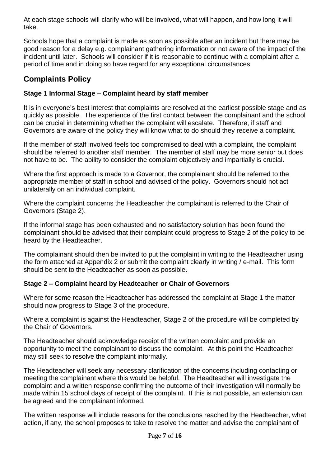At each stage schools will clarify who will be involved, what will happen, and how long it will take.

Schools hope that a complaint is made as soon as possible after an incident but there may be good reason for a delay e.g. complainant gathering information or not aware of the impact of the incident until later. Schools will consider if it is reasonable to continue with a complaint after a period of time and in doing so have regard for any exceptional circumstances.

#### **Complaints Policy**

#### **Stage 1 Informal Stage – Complaint heard by staff member**

It is in everyone's best interest that complaints are resolved at the earliest possible stage and as quickly as possible. The experience of the first contact between the complainant and the school can be crucial in determining whether the complaint will escalate. Therefore, if staff and Governors are aware of the policy they will know what to do should they receive a complaint.

If the member of staff involved feels too compromised to deal with a complaint, the complaint should be referred to another staff member. The member of staff may be more senior but does not have to be. The ability to consider the complaint objectively and impartially is crucial.

Where the first approach is made to a Governor, the complainant should be referred to the appropriate member of staff in school and advised of the policy. Governors should not act unilaterally on an individual complaint.

Where the complaint concerns the Headteacher the complainant is referred to the Chair of Governors (Stage 2).

If the informal stage has been exhausted and no satisfactory solution has been found the complainant should be advised that their complaint could progress to Stage 2 of the policy to be heard by the Headteacher.

The complainant should then be invited to put the complaint in writing to the Headteacher using the form attached at Appendix 2 or submit the complaint clearly in writing / e-mail. This form should be sent to the Headteacher as soon as possible.

#### **Stage 2 – Complaint heard by Headteacher or Chair of Governors**

Where for some reason the Headteacher has addressed the complaint at Stage 1 the matter should now progress to Stage 3 of the procedure.

Where a complaint is against the Headteacher, Stage 2 of the procedure will be completed by the Chair of Governors.

The Headteacher should acknowledge receipt of the written complaint and provide an opportunity to meet the complainant to discuss the complaint. At this point the Headteacher may still seek to resolve the complaint informally.

The Headteacher will seek any necessary clarification of the concerns including contacting or meeting the complainant where this would be helpful. The Headteacher will investigate the complaint and a written response confirming the outcome of their investigation will normally be made within 15 school days of receipt of the complaint. If this is not possible, an extension can be agreed and the complainant informed.

The written response will include reasons for the conclusions reached by the Headteacher, what action, if any, the school proposes to take to resolve the matter and advise the complainant of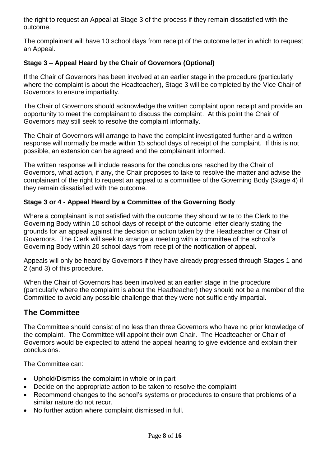the right to request an Appeal at Stage 3 of the process if they remain dissatisfied with the outcome.

The complainant will have 10 school days from receipt of the outcome letter in which to request an Appeal.

#### **Stage 3 – Appeal Heard by the Chair of Governors (Optional)**

If the Chair of Governors has been involved at an earlier stage in the procedure (particularly where the complaint is about the Headteacher), Stage 3 will be completed by the Vice Chair of Governors to ensure impartiality.

The Chair of Governors should acknowledge the written complaint upon receipt and provide an opportunity to meet the complainant to discuss the complaint. At this point the Chair of Governors may still seek to resolve the complaint informally.

The Chair of Governors will arrange to have the complaint investigated further and a written response will normally be made within 15 school days of receipt of the complaint. If this is not possible, an extension can be agreed and the complainant informed.

The written response will include reasons for the conclusions reached by the Chair of Governors, what action, if any, the Chair proposes to take to resolve the matter and advise the complainant of the right to request an appeal to a committee of the Governing Body (Stage 4) if they remain dissatisfied with the outcome.

#### **Stage 3 or 4 - Appeal Heard by a Committee of the Governing Body**

Where a complainant is not satisfied with the outcome they should write to the Clerk to the Governing Body within 10 school days of receipt of the outcome letter clearly stating the grounds for an appeal against the decision or action taken by the Headteacher or Chair of Governors. The Clerk will seek to arrange a meeting with a committee of the school's Governing Body within 20 school days from receipt of the notification of appeal.

Appeals will only be heard by Governors if they have already progressed through Stages 1 and 2 (and 3) of this procedure.

When the Chair of Governors has been involved at an earlier stage in the procedure (particularly where the complaint is about the Headteacher) they should not be a member of the Committee to avoid any possible challenge that they were not sufficiently impartial.

#### **The Committee**

The Committee should consist of no less than three Governors who have no prior knowledge of the complaint. The Committee will appoint their own Chair. The Headteacher or Chair of Governors would be expected to attend the appeal hearing to give evidence and explain their conclusions.

The Committee can:

- Uphold/Dismiss the complaint in whole or in part
- Decide on the appropriate action to be taken to resolve the complaint
- Recommend changes to the school's systems or procedures to ensure that problems of a similar nature do not recur.
- No further action where complaint dismissed in full.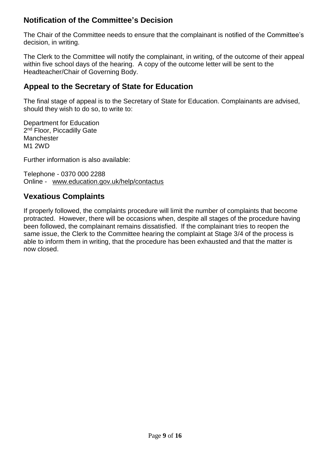#### **Notification of the Committee's Decision**

The Chair of the Committee needs to ensure that the complainant is notified of the Committee's decision, in writing.

The Clerk to the Committee will notify the complainant, in writing, of the outcome of their appeal within five school days of the hearing. A copy of the outcome letter will be sent to the Headteacher/Chair of Governing Body.

#### **Appeal to the Secretary of State for Education**

The final stage of appeal is to the Secretary of State for Education. Complainants are advised, should they wish to do so, to write to:

Department for Education 2<sup>nd</sup> Floor, Piccadilly Gate Manchester M1 2WD

Further information is also available:

Telephone - 0370 000 2288 Online - [www.education.gov.uk/help/contactus](http://www.education.gov.uk/help/contactus)

#### **Vexatious Complaints**

If properly followed, the complaints procedure will limit the number of complaints that become protracted. However, there will be occasions when, despite all stages of the procedure having been followed, the complainant remains dissatisfied. If the complainant tries to reopen the same issue, the Clerk to the Committee hearing the complaint at Stage 3/4 of the process is able to inform them in writing, that the procedure has been exhausted and that the matter is now closed.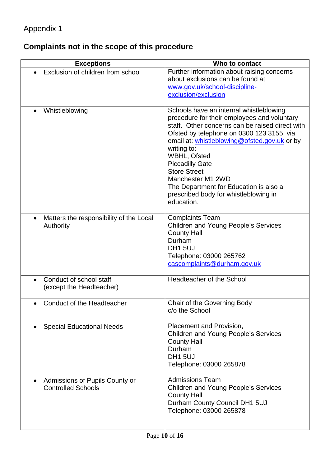## **Complaints not in the scope of this procedure**

| <b>Exceptions</b>                                           | Who to contact                                                                                                                                                                                                                                                                                                                                                                                                                               |
|-------------------------------------------------------------|----------------------------------------------------------------------------------------------------------------------------------------------------------------------------------------------------------------------------------------------------------------------------------------------------------------------------------------------------------------------------------------------------------------------------------------------|
| Exclusion of children from school                           | Further information about raising concerns<br>about exclusions can be found at<br>www.gov.uk/school-discipline-<br>exclusion/exclusion                                                                                                                                                                                                                                                                                                       |
| Whistleblowing                                              | Schools have an internal whistleblowing<br>procedure for their employees and voluntary<br>staff. Other concerns can be raised direct with<br>Ofsted by telephone on 0300 123 3155, via<br>email at: whistleblowing@ofsted.gov.uk or by<br>writing to:<br>WBHL, Ofsted<br><b>Piccadilly Gate</b><br><b>Store Street</b><br>Manchester M1 2WD<br>The Department for Education is also a<br>prescribed body for whistleblowing in<br>education. |
| Matters the responsibility of the Local<br>Authority        | <b>Complaints Team</b><br><b>Children and Young People's Services</b><br><b>County Hall</b><br>Durham<br><b>DH1 5UJ</b><br>Telephone: 03000 265762<br>cascomplaints@durham.gov.uk                                                                                                                                                                                                                                                            |
| Conduct of school staff<br>(except the Headteacher)         | Headteacher of the School                                                                                                                                                                                                                                                                                                                                                                                                                    |
| Conduct of the Headteacher                                  | Chair of the Governing Body<br>c/o the School                                                                                                                                                                                                                                                                                                                                                                                                |
| <b>Special Educational Needs</b>                            | Placement and Provision,<br><b>Children and Young People's Services</b><br><b>County Hall</b><br>Durham<br><b>DH1 5UJ</b><br>Telephone: 03000 265878                                                                                                                                                                                                                                                                                         |
| Admissions of Pupils County or<br><b>Controlled Schools</b> | <b>Admissions Team</b><br><b>Children and Young People's Services</b><br><b>County Hall</b><br>Durham County Council DH1 5UJ<br>Telephone: 03000 265878                                                                                                                                                                                                                                                                                      |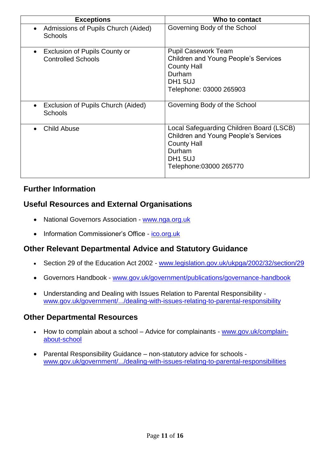| <b>Exceptions</b>                                                 | Who to contact                                                                                                                                                           |
|-------------------------------------------------------------------|--------------------------------------------------------------------------------------------------------------------------------------------------------------------------|
| Admissions of Pupils Church (Aided)<br><b>Schools</b>             | Governing Body of the School                                                                                                                                             |
| <b>Exclusion of Pupils County or</b><br><b>Controlled Schools</b> | <b>Pupil Casework Team</b><br><b>Children and Young People's Services</b><br><b>County Hall</b><br>Durham<br><b>DH1 5UJ</b><br>Telephone: 03000 265903                   |
| Exclusion of Pupils Church (Aided)<br><b>Schools</b>              | Governing Body of the School                                                                                                                                             |
| Child Abuse                                                       | Local Safeguarding Children Board (LSCB)<br><b>Children and Young People's Services</b><br><b>County Hall</b><br>Durham<br>DH <sub>1</sub> 5UJ<br>Telephone:03000 265770 |

#### **Further Information**

#### **Useful Resources and External Organisations**

- National Governors Association www.nga.org.uk
- Information Commissioner's Office [ico.org.uk](file:///C:/Users/jill.huntington/AppData/Local/Microsoft/Windows/INetCache/Content.Outlook/XVKOO222/School%20Complaints%20Policy%20October%202017.doc)

#### **Other Relevant Departmental Advice and Statutory Guidance**

- Section 29 of the Education Act 2002 [www.legislation.gov.uk/ukpga/2002/32/section/29](file:///C:/Users/jill.huntington/AppData/Local/Microsoft/Windows/INetCache/Content.Outlook/XVKOO222/School%20Complaints%20Policy%20October%202017.doc)
- Governors Handbook [www.gov.uk/government/publications/governance-handbook](file:///C:/Users/jill.huntington/AppData/Local/Microsoft/Windows/INetCache/Content.Outlook/XVKOO222/School%20Complaints%20Policy%20October%202017.doc)
- Understanding and Dealing with Issues Relation to Parental Responsibility [www.gov.uk/government/.../dealing-with-issues-relating-to-parental-responsibility](http://www.gov.uk/government/.../dealing-with-issues-relating-to-parental-responsibility)

#### **Other Departmental Resources**

- How to complain about a school Advice for complainants [www.gov.uk/complain](http://www.gov.uk/complain-about-school)[about-school](http://www.gov.uk/complain-about-school)
- Parental Responsibility Guidance non-statutory advice for schools [www.gov.uk/government/.../dealing-with-issues-relating-to-parental-responsibilities](http://www.gov.uk/government/.../dealing-with-issues-relating-to-parental-responsibilities)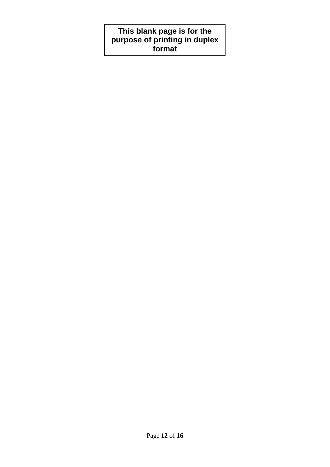#### **This blank page is for the purpose of printing in duplex format**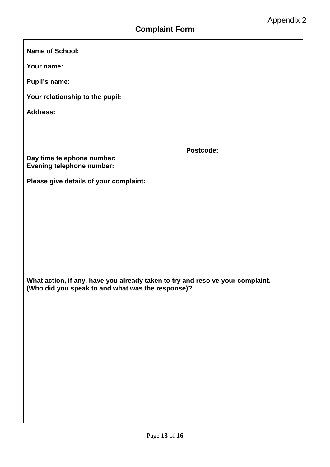**Name of School:**

**Your name:**

**Pupil's name:**

**Your relationship to the pupil:**

**Address:**

**Postcode:**

**Day time telephone number: Evening telephone number:**

**Please give details of your complaint:**

**What action, if any, have you already taken to try and resolve your complaint. (Who did you speak to and what was the response)?**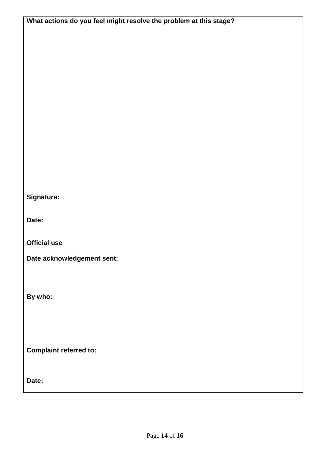| What actions do you feel might resolve the problem at this stage? |
|-------------------------------------------------------------------|
|                                                                   |
|                                                                   |
|                                                                   |
|                                                                   |
|                                                                   |
|                                                                   |
|                                                                   |
|                                                                   |
|                                                                   |
|                                                                   |
|                                                                   |
|                                                                   |
|                                                                   |
|                                                                   |
|                                                                   |
| Signature:                                                        |
|                                                                   |
| Date:                                                             |
|                                                                   |
| <b>Official use</b>                                               |
| Date acknowledgement sent:                                        |
|                                                                   |
|                                                                   |
|                                                                   |
| By who:                                                           |
|                                                                   |
|                                                                   |
|                                                                   |
|                                                                   |
| <b>Complaint referred to:</b>                                     |
|                                                                   |
|                                                                   |
| Date:                                                             |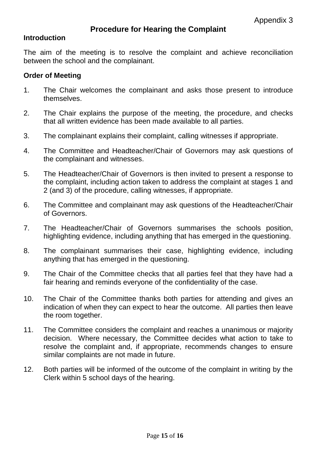#### **Procedure for Hearing the Complaint**

#### **Introduction**

The aim of the meeting is to resolve the complaint and achieve reconciliation between the school and the complainant.

#### **Order of Meeting**

- 1. The Chair welcomes the complainant and asks those present to introduce themselves.
- 2. The Chair explains the purpose of the meeting, the procedure, and checks that all written evidence has been made available to all parties.
- 3. The complainant explains their complaint, calling witnesses if appropriate.
- 4. The Committee and Headteacher/Chair of Governors may ask questions of the complainant and witnesses.
- 5. The Headteacher/Chair of Governors is then invited to present a response to the complaint, including action taken to address the complaint at stages 1 and 2 (and 3) of the procedure, calling witnesses, if appropriate.
- 6. The Committee and complainant may ask questions of the Headteacher/Chair of Governors.
- 7. The Headteacher/Chair of Governors summarises the schools position, highlighting evidence, including anything that has emerged in the questioning.
- 8. The complainant summarises their case, highlighting evidence, including anything that has emerged in the questioning.
- 9. The Chair of the Committee checks that all parties feel that they have had a fair hearing and reminds everyone of the confidentiality of the case.
- 10. The Chair of the Committee thanks both parties for attending and gives an indication of when they can expect to hear the outcome. All parties then leave the room together.
- 11. The Committee considers the complaint and reaches a unanimous or majority decision. Where necessary, the Committee decides what action to take to resolve the complaint and, if appropriate, recommends changes to ensure similar complaints are not made in future.
- 12. Both parties will be informed of the outcome of the complaint in writing by the Clerk within 5 school days of the hearing.